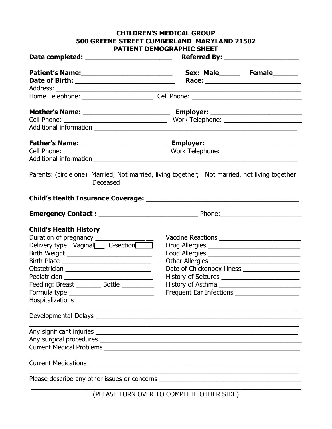#### **CHILDREN'S MEDICAL GROUP 500 GREENE STREET CUMBERLAND MARYLAND 21502 PATIENT DEMOGRAPHIC SHEET**

|                                                                                                           | Sex: Male_______ Female_______                                                                                                                                                                                                                                                                 |  |
|-----------------------------------------------------------------------------------------------------------|------------------------------------------------------------------------------------------------------------------------------------------------------------------------------------------------------------------------------------------------------------------------------------------------|--|
|                                                                                                           |                                                                                                                                                                                                                                                                                                |  |
|                                                                                                           |                                                                                                                                                                                                                                                                                                |  |
|                                                                                                           |                                                                                                                                                                                                                                                                                                |  |
| Parents: (circle one) Married; Not married, living together; Not married, not living together<br>Deceased |                                                                                                                                                                                                                                                                                                |  |
|                                                                                                           |                                                                                                                                                                                                                                                                                                |  |
|                                                                                                           |                                                                                                                                                                                                                                                                                                |  |
| <b>Child's Health History</b><br>Feeding: Breast _________ Bottle _________                               | Vaccine Reactions _________________________<br>Drug Allergies ___________________________________<br>Food Allergies _________________________________<br>Other Allergies<br>Date of Chickenpox illness<br>History of Seizures ____________________________<br>Frequent Ear Infections ________ |  |
|                                                                                                           |                                                                                                                                                                                                                                                                                                |  |
|                                                                                                           | <u> 1990 - 1991 - 1992 - 1993 - 1994 - 1995 - 1996 - 1997 - 1998 - 1999 - 1999 - 1999 - 1999 - 1999 - 1999 - 199</u>                                                                                                                                                                           |  |